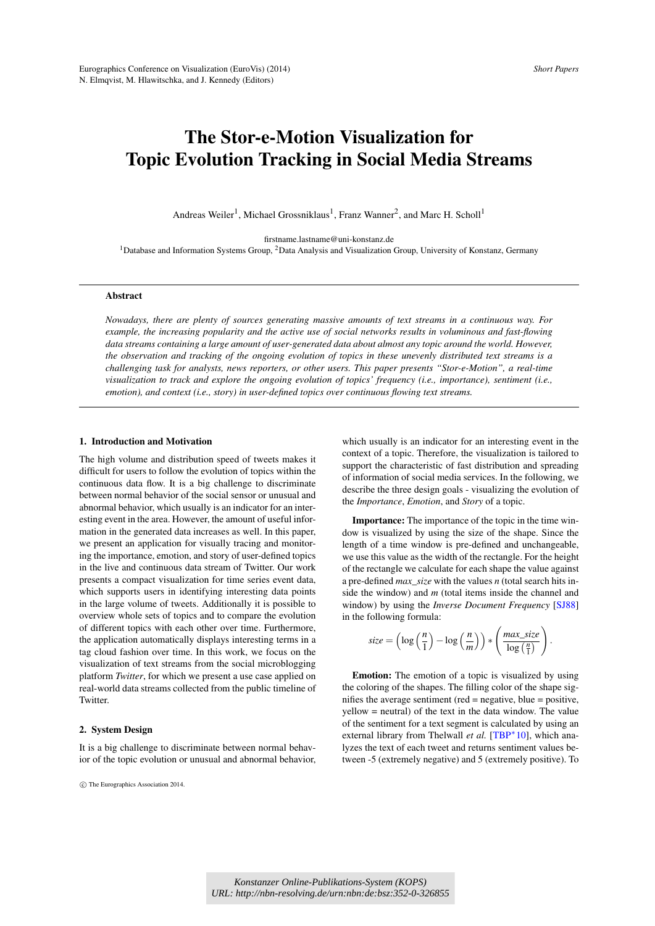# <span id="page-0-0"></span>The Stor-e-Motion Visualization for Topic Evolution Tracking in Social Media Streams

Andreas Weiler<sup>1</sup>, Michael Grossniklaus<sup>1</sup>, Franz Wanner<sup>2</sup>, and Marc H. Scholl<sup>1</sup>

firstname.lastname@uni-konstanz.de <sup>1</sup>Database and Information Systems Group, <sup>2</sup>Data Analysis and Visualization Group, University of Konstanz, Germany

## Abstract

*Nowadays, there are plenty of sources generating massive amounts of text streams in a continuous way. For example, the increasing popularity and the active use of social networks results in voluminous and fast-flowing data streams containing a large amount of user-generated data about almost any topic around the world. However, the observation and tracking of the ongoing evolution of topics in these unevenly distributed text streams is a challenging task for analysts, news reporters, or other users. This paper presents "Stor-e-Motion", a real-time visualization to track and explore the ongoing evolution of topics' frequency (i.e., importance), sentiment (i.e., emotion), and context (i.e., story) in user-defined topics over continuous flowing text streams.*

## 1. Introduction and Motivation

The high volume and distribution speed of tweets makes it difficult for users to follow the evolution of topics within the continuous data flow. It is a big challenge to discriminate between normal behavior of the social sensor or unusual and abnormal behavior, which usually is an indicator for an interesting event in the area. However, the amount of useful information in the generated data increases as well. In this paper, we present an application for visually tracing and monitoring the importance, emotion, and story of user-defined topics in the live and continuous data stream of Twitter. Our work presents a compact visualization for time series event data, which supports users in identifying interesting data points in the large volume of tweets. Additionally it is possible to overview whole sets of topics and to compare the evolution of different topics with each other over time. Furthermore, the application automatically displays interesting terms in a tag cloud fashion over time. In this work, we focus on the visualization of text streams from the social microblogging platform *Twitter*, for which we present a use case applied on real-world data streams collected from the public timeline of Twitter.

#### 2. System Design

It is a big challenge to discriminate between normal behavior of the topic evolution or unusual and abnormal behavior,

c The Eurographics Association 2014.

which usually is an indicator for an interesting event in the context of a topic. Therefore, the visualization is tailored to support the characteristic of fast distribution and spreading of information of social media services. In the following, we describe the three design goals - visualizing the evolution of the *Importance*, *Emotion*, and *Story* of a topic.

Importance: The importance of the topic in the time window is visualized by using the size of the shape. Since the length of a time window is pre-defined and unchangeable, we use this value as the width of the rectangle. For the height of the rectangle we calculate for each shape the value against a pre-defined *max*\_*size* with the values *n* (total search hits inside the window) and *m* (total items inside the channel and window) by using the *Inverse Document Frequency* [\[SJ88\]](#page-2-0) in the following formula:

$$
size = \left(\log\left(\frac{n}{1}\right) - \log\left(\frac{n}{m}\right)\right) * \left(\frac{max\_size}{\log\left(\frac{n}{1}\right)}\right).
$$

Emotion: The emotion of a topic is visualized by using the coloring of the shapes. The filling color of the shape signifies the average sentiment (red = negative, blue = positive, yellow = neutral) of the text in the data window. The value of the sentiment for a text segment is calculated by using an external library from Thelwall et al. [\[TBP](#page-2-1)<sup>\*</sup>10], which analyzes the text of each tweet and returns sentiment values between -5 (extremely negative) and 5 (extremely positive). To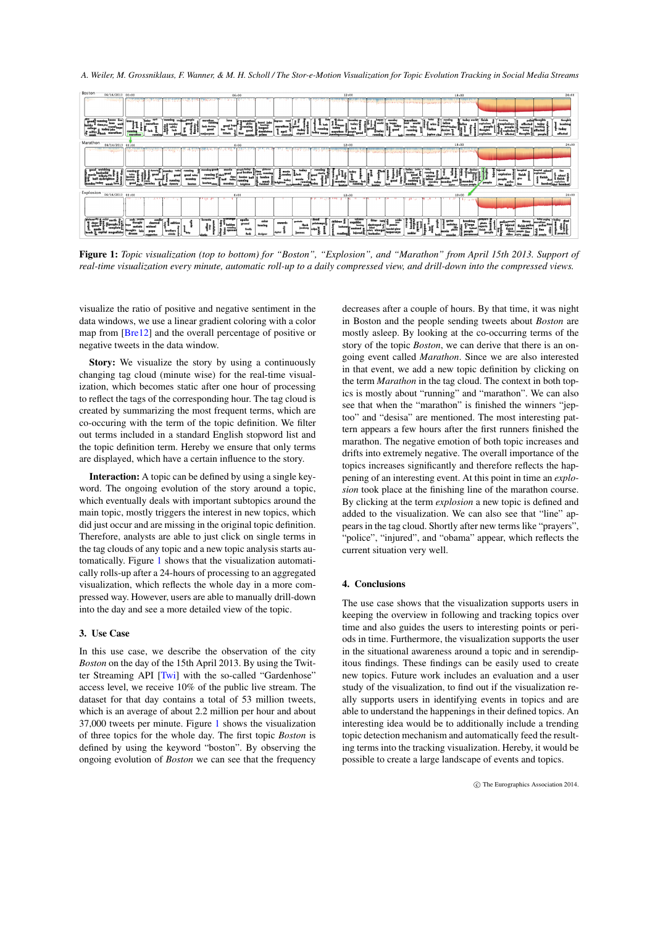<span id="page-1-1"></span>*A. Weiler, M. Grossniklaus, F. Wanner, & M. H. Scholl / The Stor-e-Motion Visualization for Topic Evolution Tracking in Social Media Streams*



<span id="page-1-0"></span>Figure 1: *Topic visualization (top to bottom) for "Boston", "Explosion", and "Marathon" from April 15th 2013. Support of real-time visualization every minute, automatic roll-up to a daily compressed view, and drill-down into the compressed views.*

visualize the ratio of positive and negative sentiment in the data windows, we use a linear gradient coloring with a color map from [\[Bre12\]](#page-2-2) and the overall percentage of positive or negative tweets in the data window.

Story: We visualize the story by using a continuously changing tag cloud (minute wise) for the real-time visualization, which becomes static after one hour of processing to reflect the tags of the corresponding hour. The tag cloud is created by summarizing the most frequent terms, which are co-occuring with the term of the topic definition. We filter out terms included in a standard English stopword list and the topic definition term. Hereby we ensure that only terms are displayed, which have a certain influence to the story.

Interaction: A topic can be defined by using a single keyword. The ongoing evolution of the story around a topic, which eventually deals with important subtopics around the main topic, mostly triggers the interest in new topics, which did just occur and are missing in the original topic definition. Therefore, analysts are able to just click on single terms in the tag clouds of any topic and a new topic analysis starts automatically. Figure [1](#page-1-0) shows that the visualization automatically rolls-up after a 24-hours of processing to an aggregated visualization, which reflects the whole day in a more compressed way. However, users are able to manually drill-down into the day and see a more detailed view of the topic.

## 3. Use Case

In this use case, we describe the observation of the city *Boston* on the day of the 15th April 2013. By using the Twit-ter Streaming API [\[Twi\]](#page-2-3) with the so-called "Gardenhose" access level, we receive 10% of the public live stream. The dataset for that day contains a total of 53 million tweets, which is an average of about 2.2 million per hour and about 37,000 tweets per minute. Figure [1](#page-1-0) shows the visualization of three topics for the whole day. The first topic *Boston* is defined by using the keyword "boston". By observing the ongoing evolution of *Boston* we can see that the frequency

decreases after a couple of hours. By that time, it was night in Boston and the people sending tweets about *Boston* are mostly asleep. By looking at the co-occurring terms of the story of the topic *Boston*, we can derive that there is an ongoing event called *Marathon*. Since we are also interested in that event, we add a new topic definition by clicking on the term *Marathon* in the tag cloud. The context in both topics is mostly about "running" and "marathon". We can also see that when the "marathon" is finished the winners "jeptoo" and "desisa" are mentioned. The most interesting pattern appears a few hours after the first runners finished the marathon. The negative emotion of both topic increases and drifts into extremely negative. The overall importance of the topics increases significantly and therefore reflects the happening of an interesting event. At this point in time an *explosion* took place at the finishing line of the marathon course. By clicking at the term *explosion* a new topic is defined and added to the visualization. We can also see that "line" appears in the tag cloud. Shortly after new terms like "prayers", "police", "injured", and "obama" appear, which reflects the current situation very well.

## 4. Conclusions

The use case shows that the visualization supports users in keeping the overview in following and tracking topics over time and also guides the users to interesting points or periods in time. Furthermore, the visualization supports the user in the situational awareness around a topic and in serendipitous findings. These findings can be easily used to create new topics. Future work includes an evaluation and a user study of the visualization, to find out if the visualization really supports users in identifying events in topics and are able to understand the happenings in their defined topics. An interesting idea would be to additionally include a trending topic detection mechanism and automatically feed the resulting terms into the tracking visualization. Hereby, it would be possible to create a large landscape of events and topics.